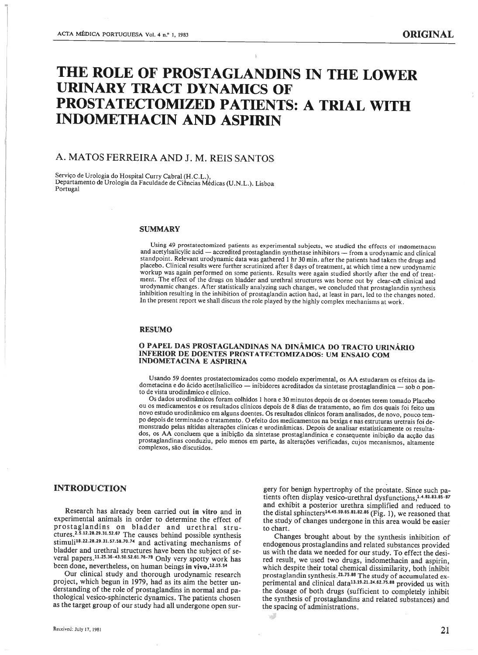# THE ROLE OF PROSTAGLANDINS IN THE LOWER URINARY TRACT DYNAMICS OF PROSTATECTOMIZED PATIENTS: A TRIAL WITH INDOMETHACIN AND ASPIRIN

# A. MATOS FERREIRA AND J. M. REIS SANTOS

Serviço de Urologia do Hospital Curry Cabral (H.C.L.), Departamento de Urologia da Faculdade de Ciências Médicas (U.N.L.). Lisboa Portugal

#### **SUMMARY**

Using 49 prostatectomized patients as experimental subjects, we studied the effects of indometnacin and acetylsalicylic acid — accredited prostaglandin synthetase inhibitors — from <sup>a</sup> urodynamic and clinical standpoint. Relevant urodynamic data was gathered 1 hr 30 min. after the patients had taken the drugs and placebo. Clinical results were further scrutinized after 8 days of treatment, at which time <sup>a</sup> new urodynamic workup was again performed on some patients. Results were again studied shortly after the end of treat ment. The effect of the drugs on bladder and urethral structures was borne out by clear-cut clinical and urodynamic changes. After statistically analyzing such changes, we concluded that prostaglandin synthesis inhibition resulting in the inhibition of prostaglandin action had, at least in part, led to the changes noted. In the present report we shall discuss the role played by the highly complex mechanisms at work.

#### RESUMO

#### O PAPEL DAS PROSTAGLANDINAS NA DINÂMICA DO TRACTO URINÁRIO INFERIOR DE DOENTES PROSTATECTOMIZADOS: UM ENSAIO COM INDOMETACINA E ASPIRINA

Usando <sup>59</sup> doentes prostatectomizados como modelo experimental, os AA estudaram os efeitos da in dometacina <sup>e</sup> do ácido acetilsalicílico — inibidores acreditados da sintetase prostaglandinica — sob <sup>o</sup> pon to de vista urodinâmico e clínico.

Os dados urodinâmicos foram colhidos <sup>1</sup> hora <sup>e</sup> <sup>30</sup> minutos depois de os doentes terem tomado Placebo ou os medicamentos <sup>e</sup> os resultados clínicos depois de <sup>8</sup> dias de tratamento, ao fim dos quais foi feito um novo estudo urodinâmico em alguns doentes. Os resultados clínicos foram analisados, de novo, pouco tem po depois determinado <sup>o</sup> tratamento. O efeito dos medicamentos na bexiga <sup>e</sup> nas estruturas uretrais foi de monstrado pelas nítidas alterações clínicas <sup>e</sup> urodinâmicas. Depois de analisar estatisticamente os resulta dos, os AA concluem que <sup>a</sup> inibição da sintetase prostaglandínica <sup>e</sup> consequente inibição da acção das prostaglandinas conduziu, pelo menos em parte, às alterações verificadas, cujos mecanismos, altamente complexos, são discutidos.

эð

## INTRODUCTION

Research has already been carried out in vitro and in experimental animais in order to determine the effect of prostaglandins on bladder and urethral stru ctures.25'12282931'5267 The causes behind possibie synthesis stimuli<sup>18.22.28.29.31.57.58.70.74</sup> and activating mechanisms of bladder and urethral structures have been the subject of several papers.<sup>11.25.36-43.50.52.61.76-78</sup> Only very spotty work has been done, nevertheless, on human beings in vivo.<sup>12.15.54</sup>

Our clinical study and thorough urodynamic research project, which begun in 1979, had as its aim the better un derstanding of the role of prostaglandins in normal and pa thological vesico-sphincteric dynamics. The patients chosen as the target group of our study had ali undergone open sur

gery for benign hypertrophy of the prostate. Since such pa tients often display vesico-urethral dysfunctions,<sup>1.4.81.83.85-87</sup> and exhibit <sup>a</sup> posterior urethra simplified and reduced to the distal sphincters<sup>14, 45, 59, 65, 81, 82, 86</sup> (Fig. 1), we reasoned that the study of changes undergone in this area would be easier to chart.

Changes brought about by the synthesis inhibition of endogenous prostaglandins and related substances provided us with the data we needed for our study. To effect the desi red result, we used two drugs, indomethacin and aspirin, which despite their total chemical dissimilarity, both inhibit prostaglandin synthesis.<sup>21.75.88</sup> The study of accumulated experimental and clinical data<sup>13,19,21,24,62,75,88</sup> provided us with the dosage of both drugs (sufficient to completely inhibit the synthesis of prostaglandins and related substances) and the spacing of administrations.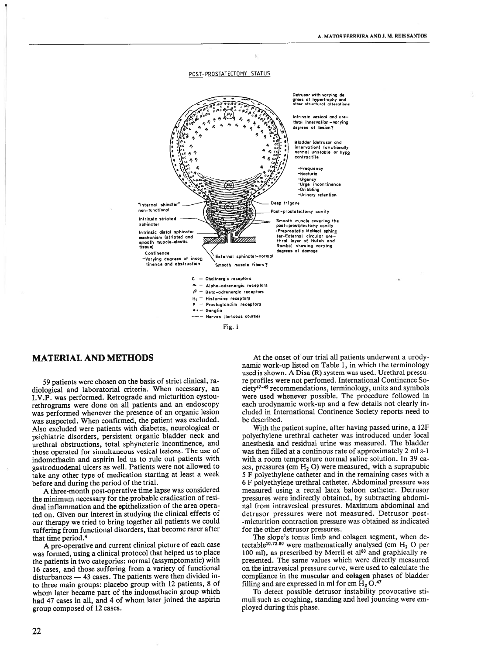

Fig. 1

## **MATERIAL AND METHODS**

59 patients were chosen on the basis of strict clinical, radiological and laboratorial criteria. When necessary, an I.V.P. was performed. Retrograde and micturition cystourethrograms were done on all patients and an endoscopy was performed whenever the presence of an organic lesion was suspected. When confirmed, the patient was excluded. Also excluded were patients with diabetes, neurological or psichiatric disorders, persistent organic bladder neck and urethral obstructions, total sphyncteric incontinence, and those operated for simultaneous vesical lesions. The use of indomethacin and aspirin led us to rule out patients with gastroduodenal ulcers as well. Patients were not allowed to take any other type of medication starting at least a week before and during the period of the trial.

A three-month post-operative time lapse was considered the minimum necessary for the probable eradication of residual inflammation and the epithelization of the area operated on. Given our interest in studying the clinical effects of our therapy we tried to bring together all patients we could suffering from functional disorders, that become rarer after that time period.<sup>4</sup>

A pre-operative and current clinical picture of each case was formed, using a clinical protocol that helped us to place the patients in two categories: normal (assymptomatic) with 16 cases, and those suffering from a variery of functional disturbances - 43 cases. The patients were then divided into three main groups: placebo group with 12 patients, 8 of whom later became part of the indomethacin group which had 47 cases in all, and 4 of whom later joined the aspirin group composed of 12 cases.

At the onset of our trial all patients underwent a urodynamic work-up listed on Table 1, in which the terminology used is shown. A Disa (R) system was used. Urethral pressure profiles were not perfomed. International Continence Society<sup>47-49</sup> recommendations, terminology, units and symbols were used whenever possible. The procedure followed in each urodynamic work-up and a few details not clearly included in International Continence Society reports need to be described.

With the patient supine, after having passed urine, a 12F polyethylene urethral catheter was introduced under local anesthesia and residual urine was measured. The bladder was then filled at a continous rate of approximately 2 ml s-1 with a room temperature normal saline solution. In 39 cases, pressures (cm  $H_2$  O) were measured, with a suprapubic 5 F polyethylene catheter and in the remaining cases with a 6 F polyethylene urethral catheter. Abdominal pressure was measured using a rectal latex baloon catheter. Detrusor pressures were indirectly obtained, by subtracting abdominal from intravesical pressures. Maximum abdominal and detrusor pressures were not measured. Detrusor post--micturition contraction pressure was obtained as indicated for the other detrusor pressures.

The slope's tonus limb and colagen segment, when detectable<sup>10.72.80</sup> were mathematically analysed (cm  $H_2$  O per 100 ml), as prescribed by Merril et al<sup>60</sup> and graphically represented. The same values which were directly measured on the intravesical pressure curve, were used to calculate the compliance in the muscular and colagen phases of bladder filling and are expressed in ml for cm  $\mathrm{H}_{2}$  O.<sup>47</sup>

To detect possible detrusor instability provocative stimuli such as coughing, standing and heel jouncing were employed during this phase.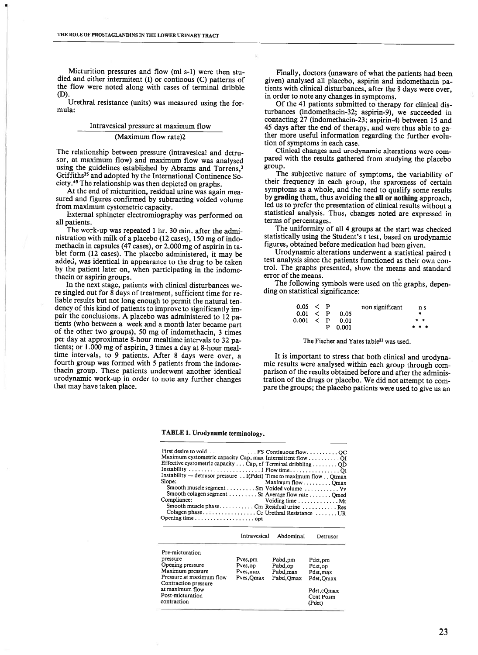Micturition pressures and flow (ml s-1) were then stu died and either intermitent (1) or continous (C) patterns of the flow were noted along with cases of terminal dribble (D).

Urethral resistance (units) was measured using the for mula:

## Intravesicai pressure at maximum flow (Maximum flow rate)2

The relationship between pressure (intravesical and detrusor, at maximum flow) and maximum flow was analysed using the guidelines established by Abrams and Torrens.<sup>3</sup> Griffiths<sup>35</sup> and adopted by the International Continence Society.49 The relationship was then depicted on graphs.

At the end of micturition, residual urine was again mea sured and figures confirmed by subtracting voided volume from maximum cystometric capacity.

External sphincter eiectromiography was performed on ali patients.

The work-up was repeated 1 hr. 30 min. after the administration with miik of <sup>a</sup> piacebo (12 cases), 150 mg of indo methacin in capsules (47 cases), or 2.000 mg of aspirin in ta blet form (12 cases). The placebo administered, it may be added, was identical in appearance to the drug to be taken by the patient iater on, when participating in the indome thacin or aspirin groups.

In the next stage, patients with clinical disturbances we re singled out for 8 days of treatment, sufficient time for re liable results but not long enough to permit the natural ten dency of this kind of patients to improve to significantly im pair the conclusions. A placebo was administered to 12 patients (who between <sup>a</sup> week and <sup>a</sup> month later became part of the other two groups), 50 mg of indomethacin, 3 times per day at approximate 8-hour mealtime intervais to 32 pa tients; or 1.000 mg of aspirin, 3 times <sup>a</sup> day at 8-hour meal time intervals, to 9 patients. After 8 days were over, <sup>a</sup> fourth group was formed with <sup>5</sup> patients from the indome thacin group. These patients underwent another identical urodynamic work-up in order to note any further changes that may have taken place.

Finally, doctors (unaware of what the patients had been given) analysed ali placebo, aspirin and indomethacin pa tients with clinical disturbances, after the 8 days were over, in order to note any changes in symptoms.

Of the 41 patients submitted to therapy for clinical dis turbances (indomethacin-32; aspirin-9), we succeeded in contacting 27 (indomethacin-23; aspirin-4) between 15 and 45 days after the end of therapy, and were thus able to ga ther more useful information regarding the further evolu tion of symptoms in each case.

Clinical changes and urodynamic alterations were com pared with the results gathered from studying the placebo group.

The subjective nature of symptoms, the variability of their frequency in each group, the sparceness of certain symptoms as <sup>a</sup> whole, and the need to qualify some results by grading them, thus avoiding the ali or nothing approach, led us to prefer the presentation of clinical results without <sup>a</sup> statistical analysis. Thus, changes noted are expressed in terms of percentages.

The uniformity of ali 4 groups at the start was checked statistically using the Student's t test, based on urodynamic figures, obtained before medication had been given.

Urodynamic alterations underwent <sup>a</sup> statistical paired t test analysis since the patients functioned as their own con trol. The graphs presented, show the means and standard error of the means.

The following symbols were used on the graphs, depen ding on statistical significance:

| 0.05 < P      |   |        | non significant | n s   |
|---------------|---|--------|-----------------|-------|
| $0.01 \leq P$ |   | - 0.05 |                 |       |
| 0.001 < P     |   | - 0.01 |                 | * *   |
|               | Р | 0.001  |                 | * * * |

#### The Fischer and Yates table<sup>23</sup> was used.

It is important to stress that both clinical and urodyna mic results were analysed within each group through com parison of the results obtained before and after the adminis tration of the drugs or placebo. We did not attempt to com pare the groups; the placebo patients were used to give us an

#### TABLE 1. Urodynamic terminology.

| First desire to void  FS Continuous flow QC<br>Maximum cystometric capacity Cap, max Intermittent flow QI<br>Effective cystometric capacity Cap, ef Terminal dribbling QD<br>Instability — detrusor pressure I(Pdet) Time to maximum flow Qtmax<br>Slope:<br>Smooth muscle segment Sm Voided volume Vv<br>Smooth colagen segment Sc Average flow rate Qmed<br>Compliance:<br>Smooth muscle phase Cm Residual urine  Res |              |           | Maximum flowQmax<br>Voiding time Mt |
|-------------------------------------------------------------------------------------------------------------------------------------------------------------------------------------------------------------------------------------------------------------------------------------------------------------------------------------------------------------------------------------------------------------------------|--------------|-----------|-------------------------------------|
|                                                                                                                                                                                                                                                                                                                                                                                                                         | Intravesical | Abdominal | Detrusor                            |
| Pre-micturation<br>pressure                                                                                                                                                                                                                                                                                                                                                                                             | Pves,pm      | Pabd,pm   | Pdet, pm                            |

| pressure                 | Pves, pm   | Pabd,pm    | Pdet, pm   |
|--------------------------|------------|------------|------------|
| Opening pressure         | Pves, op   | Pabd, op   | Pdet,op    |
| Maximum pressure         | Pves, max  | Pabd, max  | Pdet, max  |
| Pressure at maximum flow | Pves, Qmax | Pabd, Qmax | Pdet, Qmax |
| Contraction pressure     |            |            |            |
| at maximum flow          |            |            | Pdet,cQmax |
| Post-micturation         |            |            | Cont Posm  |
| contraction              |            |            | (Pdet)     |
|                          |            |            |            |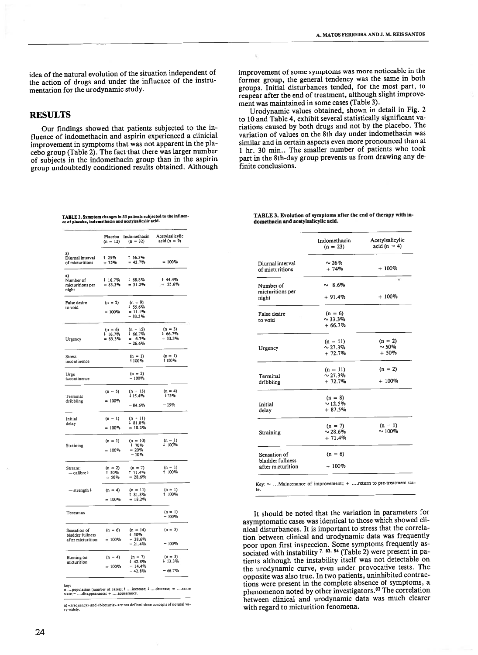idea of the natural evolution of the situation independent of the action of drugs and under the influence of the instru mentation for the urodynamic study.

## RESULTS

Our findings showed that patients subjected to the in fluence of indomethacin and aspirin experienced <sup>a</sup> clinicial improvement in symptoms that was not apparent in the pia cebo group (Table 2). The fact that there was larger number of subjects in the indomethacin group than in the aspirin group undoubtedly conditioned results obtained. Although

TABLE 2. Symptom changes in 53 patients subjected to the influen-<br>ce of placebo, indomethacin and acetylsalicylic acid.

|                                                       | Placebo<br>$(n = 12)$            | Indomethacin<br>$(n = 32)$                      | Acetylsalicylic<br>acid $(n = 9)$  |
|-------------------------------------------------------|----------------------------------|-------------------------------------------------|------------------------------------|
| a)<br>Diurnal interval<br>of micturitions             | 1 25%<br>$= 75\%$                | 1.56.3%<br>$= 43.7\%$                           | $= 100\%$                          |
| a)<br>Number of<br>micturitions per<br>night          | $+16.7\%$<br>$= 83.3\%$          | $+68.8%$<br>$= 31.2%$                           | 44.4%<br>$= 55.6\%$                |
| False desire<br>to void                               | $(n = 2)$<br>$= 100\%$           | $(n = 9)$<br>$+55.6%$<br>$= 11.1%$<br>$-33.3%$  |                                    |
| Urgency                                               | $(n = 6)$<br>16.7%<br>$= 83.3\%$ | $(n = 15)$<br>$+66.7%$<br>$= 6.7\%$<br>$-26.6%$ | $(n = 3)$<br>4.66.7%<br>$= 33.3\%$ |
| Stress<br>incontinence                                |                                  | $(n = 1)$<br>1100%                              | $(n = 1)$<br>1100%                 |
| Urge<br>incontinence                                  |                                  | $(n = 2)$<br>$-100%$                            |                                    |
| Terminal<br>dribbling                                 | $(n = 5)$<br>$= 100\%$           | $(n = 13)$<br>$15.4\%$<br>$-84.6%$              | $(n = 4)$<br>175%<br>$-25%$        |
| Initial<br>delay                                      | $(n = 1)$<br>$= 100\%$           | $(n = 11)$<br>$\frac{1}{2}$ 81.8%<br>$= 18.2%$  |                                    |
| <b>Straining</b>                                      | $(n = 1)$<br>$= 100\%$           | $(n = 10)$<br>170%<br>$= 20\%$<br>$-10%$        | $(n = 1)$<br>$+100\%$              |
| Stream:<br>$-\text{calibre}$ <sup>+</sup>             | $(n = 2)$<br>1 50%<br>$= 50\%$   | $(n = 7)$<br>171.4%<br>$= 28,6\%$               | $(n = 1)$<br>1 100%                |
| $-$ strength $\frac{1}{2}$                            | $(n = 4)$<br>$= 100\%$           | $(n = 11)$<br>1 81.8%<br>$= 18.2\%$             | $(n = 1)$<br>1 100%                |
| Tenesmus                                              |                                  |                                                 | $(n = 1)$<br>$-100%$               |
| Sensation of<br>bladder fullness<br>after micturition | $(n = 6)$<br>$= 100\%$           | $(n = 14)$<br>↓ 50%<br>$= 28.6\%$<br>$-21.4%$   | $(n = 3)$<br>$-100%$               |
| Burning on<br>micturition                             | $(n = 4)$<br>$= 100\%$           | $(n = 7)$<br>42.8%<br>$= 14.4\%$<br>$-42.8%$    | $(n = 3)$<br>133.3%<br>$-66.7%$    |

key; ....population )aomber of cases); <sup>8</sup> ....iacrease; <sup>4</sup> ....decrease; <sup>=</sup> sarne acate; — ....disappearaoce; \* ....appearance.

a) «Frequency» and «Nocturia» are not defined since concepts of normal va.<br>ry widely.

improvement of some symptoms was more noticeable in the former group, the general tendency was the same in both groups. Initial disturbances tended, for the most part, to reapear after the end of treatment, although slight improve ment was maintained in some cases (Table 3).

 $\hat{\mathbf{y}}$ 

Urodynamic values obtained, shown in detail in Fig. 2 to 10 and Table 4, exhibit several statistically significant va riations caused by both drugs and not by the placebo. The variation of values on the 8th day under indomethacin was similar and in certain aspects even more pronounced than at 1 hr. 30 min.. The smaller number of patients who took part in the 8th-day group prevents us from drawing any de finite conclusions.

TABLE 3. Evolution of symptoms after the end of therapy with indomeibacin and acetylsalicylic acid.

|                               | Indomethacin<br>$(n = 23)$ | Acetylsalicylic<br>$acid (n = 4)$ |
|-------------------------------|----------------------------|-----------------------------------|
| Diurnal interval              | $\sim$ 26%                 |                                   |
| of micturitions               | $+74%$                     | $+100%$                           |
|                               |                            | ۰                                 |
| Number of<br>micturitions per | $\sim 8.6\%$               |                                   |
| night                         | $+91.4%$                   | $+100%$                           |
| False desire                  | $(n = 6)$                  |                                   |
| to void                       | $\sim$ 33.3%               |                                   |
|                               | $+66.7%$                   |                                   |
|                               | $(n = 11)$                 | $(n = 2)$                         |
| Urgency                       | $\sim 27.3\%$              | $\sim$ 50%                        |
|                               | $+72.7%$                   | $+50%$                            |
|                               | $(n = 11)$                 | $(n = 2)$                         |
| Terminal                      | $\sim 27.3\%$              |                                   |
| dribbling                     | $+72.7%$                   | $+100%$                           |
|                               | $(n = 8)$                  |                                   |
| Initial                       | $\sim$ 12.5%               |                                   |
| delay                         | $+87.5%$                   |                                   |
|                               | $(n = 7)$                  | $(n = 1)$                         |
| Straining                     | $\sim 28.6\%$              | $\sim 100\%$                      |
|                               | $+71.4%$                   |                                   |
| Sensation of                  | $(n = 6)$                  |                                   |
| bladder fullness              |                            |                                   |
| after micturition             | $+100%$                    |                                   |

Key:  $\sim$  ... Maintenance of improvement; + .... return to pre-treatment state.

It should be noted that the variation in parameters for asymptomatic cases was identical to those which showed cli nical disturbances. It is important to stress that the correia tion between clinical and urodynamic data was frequently poor upon first inspeccion. Some symptoms frequently as sociated with instability <sup>7, 83, 94</sup> (Table 2) were present in patients although the instability itself was not detectable on the urodynamic curve, even under provocative tests. The opposite was also true. In two patients, uninhibited contrac tions were present in the complete absence of symptoms, <sup>a</sup> phenomenon noted by other investigators.83 The correlation between clinical and urodynamic data was much clearer with regard to micturition fenomena.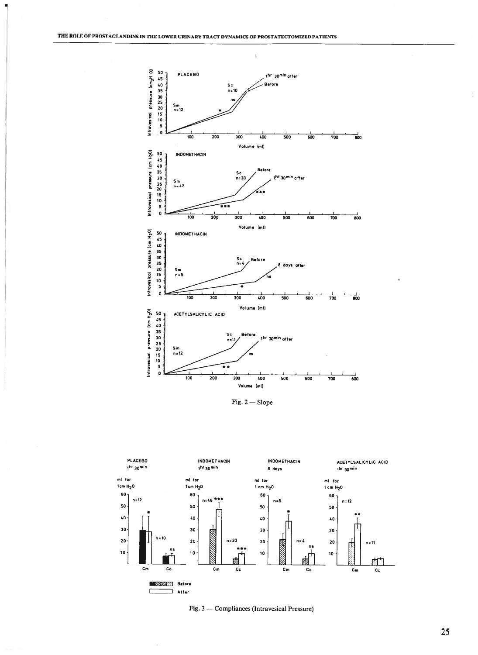

f,

Fig.  $2$   $-$  Slope





3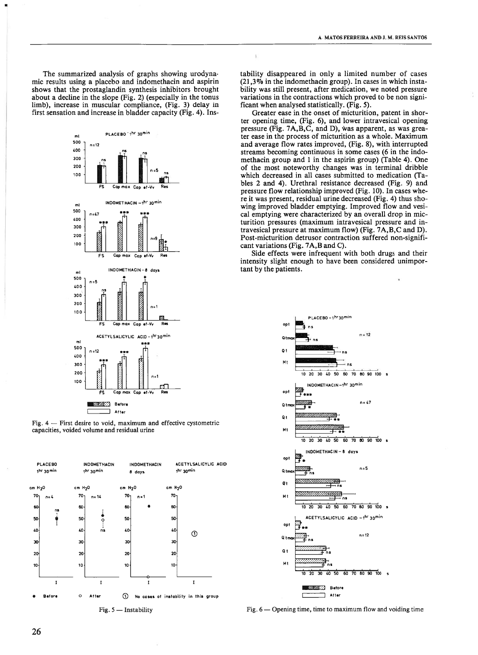The summarized analysis of graphs showing urodyna mic results using <sup>a</sup> placebo and indomethacin and aspirin shows that the prostaglandin synthesis inhibitors brought about <sup>a</sup> decline in the slope (Fig. 2) (especially in the tonus limb), increase in muscular compliance, (Fig. 3) delay in first sensation and increase in bladder capacity (Fig. 4). Ins



Fig. <sup>4</sup> — First desire to void, maximum and effective cystometric capacities, voided volume and residual urine



Fig. 5 — Instability

tability disappeared in only <sup>a</sup> limited number of cases  $(21.3\%$  in the indomethacin group). In cases in which instability was still present, after medication, we noted pressure variations in the contractions which proved to be non signi ficant when analysed statistically. (Fig. 5).

 $\bar{L}$ 

Greater ease in the onset of micturition, patent in shor ter opening time, (Fig. 6), and lower intravesical opening pressure (Fig.  $7A, B, C$ , and D), was apparent, as was greater ease in the process of micturition as <sup>a</sup> whole. Maximum and average flow rates improved, (Fig. 8), with interrupted streams becoming continuous in some cases (6 in the indo methacin group and <sup>1</sup> in the aspirin group) (Table 4). One of the most noteworthy changes was in terminal dribble which decreased in all cases submitted to medication (Ta bles 2 and 4). Urethral resistance decreased (Fig. 9) and pressure flow relationship improved (Fig. 10). In cases whe re it was present, residual urine decreased (Fig. 4) thus sho wing improved bladder emptying. Improved flow and vesi cal emptying were characterized by an overali drop in mie turition pressures (maximum intravesical pressure and in travesical pressure at maximum flow) (Fig. 7A,B,C and D). Post-micturition detrusor contraction suffered non-signifi cant variations (Fig. 7A,B and C).

Side effects were infrequent with both drugs and their intensity slight enough to have been considered unimpor tant by the patients.



Fig. 6— Opening time, time to maximum flow and voiding time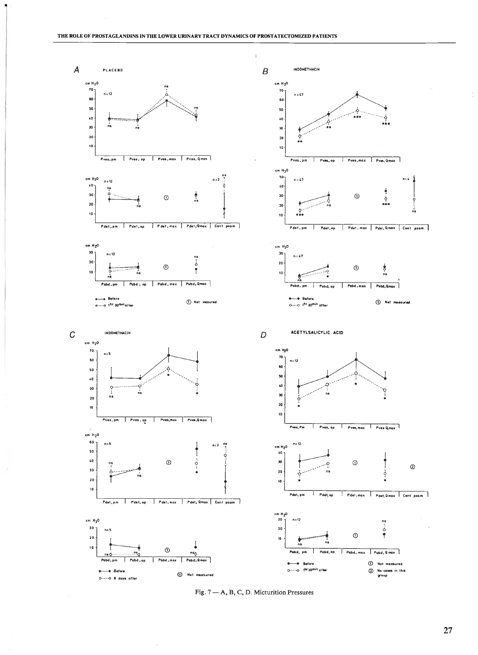



27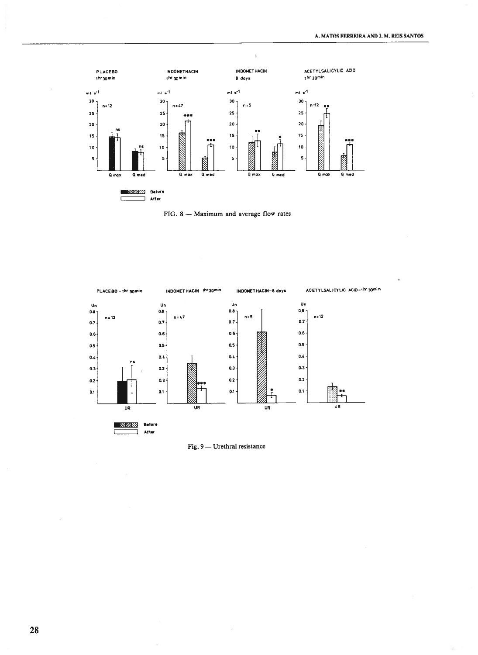

FIG. 8 - Maximum and average flow rates



Fig. 9 - Urethral resistance

28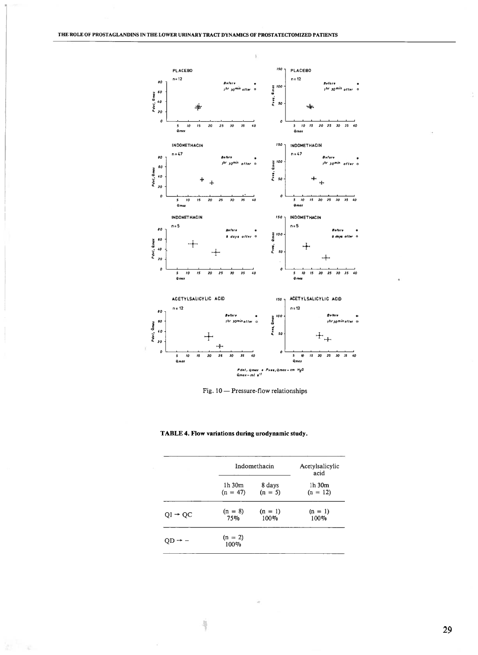

Fig. 10 - Pressure-flow relationships

|                     | Indomethacin         |           | Acetylsalicylic<br>acid |  |
|---------------------|----------------------|-----------|-------------------------|--|
|                     | 1h 30m               | 8 days    | 1h 30m                  |  |
|                     | $(n = 47)$           | $(n = 5)$ | $(n = 12)$              |  |
| $QI \rightarrow QC$ | $(n = 8)$            | $(n = 1)$ | $(n = 1)$               |  |
|                     | 75%                  | 100%      | 100%                    |  |
|                     | $(n = 2)$<br>$100\%$ |           |                         |  |

×

ÿ

部一定

# TABLE 4. Flow variations during urodynamic study.

29

ă.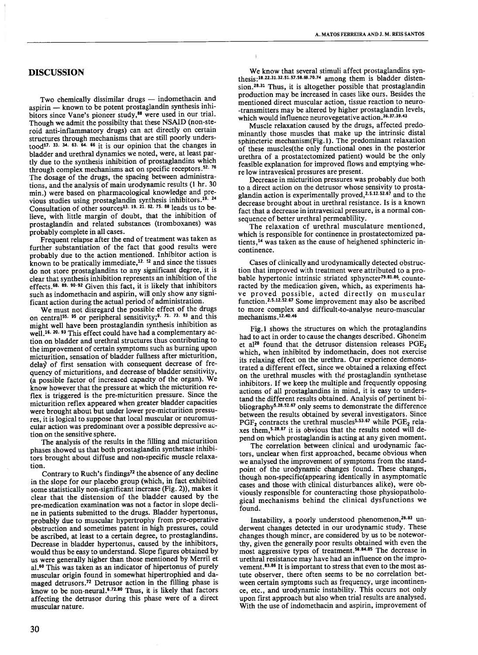## **DISCUSSION**

Two chemically dissimilar drugs — indomethacin and aspirin — known to be potent prostagiandin synthesis inhi bitors since Vane's pioneer study,<sup>88</sup> were used in our trial. Though we admit the possibiity that these NSAID (non-ste roid anti-inflammatory drugs) can act directly on certain structures through mechanisms that are stili pooriy unders tood<sup>17, 33, 34, 63, 64, 66</sup> it is our opinion that the changes in bladder and urethrai dynamics we noted, were, at least par tly due to the synthesis inhibition of prostaglandins which through complex mechanisms act on specific receptors.<sup>52, 76</sup> The dosage of the drugs, the spacing between administra tions, and the analysis of main urodynamic results (1 hr. 30 min.) were based on pharmacological knowledge and previous studies using prostagiandin synthesis inhibitors.19 <sup>24</sup> Consultation of other sources<sup>13. 19. 21. 62. 75. 88</sup> leads us to believe, with little margin of doubt, that the inhibition of prostagiandin and reiated substances (tromboxanes) was probabiy complete in ali cases.

Frequent relapse after the end of treatment was taken as further substantiation of the fact that good results were probably due to the action mentioned. Inhibitor action is known to be pratically immediate,<sup>12. 52</sup> and since the tissues do not store prostaglandins to any significant degree, it is clear that synthesis inhibition represents an inhibition of the effects.<sup>68. 89. 90-92</sup> Given this fact, it is likely that inhibitors such as indomethacin and aspirin, will only show any significant action during the actual period of administration.

We must not disregard the possible effect of the drugs on central<sup>55. 95</sup> or peripheral sensitivity;<sup>9. 71. 73. 93</sup> and this might well have been prostaglandin synthesis inhibition as well.<sup>16. 20, 93</sup> This effect could have had a complementary action on bladder and urethral structures thus contributing to the improvement of certain symptoms such as burning upon micturition, sensation of bladder fuliness after micturition, delay of first sensation with consequent decrease of frequency of micturitions, and decrease of biadder sensitivity, (a possible factor of increased capacity of the organ). We know however that the pressure at which the micturition re flex is triggered is the pre-micturition pressure. Since the micturition reflex appeared when greater bladder capacities were brought about but under lower pre-micturition pressu res, it is logical to suppose that local muscular or neuromus cular action was predominant over <sup>a</sup> possibie depressive ac tion on the sensitive sphere.

The analysis of the results in the filling and micturition phases showed us that both prostaglandin synthetase inhibi tors brought about diffuse and non-specific muscle relaxa tion.

Contrary to Ruch's findings72 the absence of any decline in the slope for our piacebo group (which, in fact exhibited some statistically non-significant increase (Fig. 2)), makes it clear that the distension of the bladder caused by the pre-medication examination was not <sup>a</sup> factor in slope decli ne in patients submitted to the drugs. Bladder hypertonus, probably due to muscular hypertrophy from pre-operative obstruction and sometimes patent in high pressures, could be ascribed, at least to <sup>a</sup> certain degree, to prostaglandins. Decrease in bladder hypertonus, caused by the inhibitors, wouid thus be easy to understand. Slope figures obtained by us were generally higher than those mentioned by Merril et al.<sup>60</sup> This was taken as an indicator of hipertonus of purely muscular origin found in somewhat hipertrophied and da maged detrusors.72 Detrusor action in the fiiling phase is know to be non-neural.<sup>6,72.80</sup> Thus, it is likely that factors affecting the detrusor during this phase were of <sup>a</sup> direct muscular nature.

We know that several stimuii affect prostaglandins syn thesis:<sup>18.22.31.32.51.57.58.69.70.74</sup> among them is bladder distension.<sup>28.31</sup> Thus, it is altogether possible that prostaglandin production may be increased in cases like ours. Besides the mentioned direct muscular action, tissue reaction to neuro -transmitters may be altered by higher prostaglandin leveis, which would influence neurovegetative action.<sup>36.37.39.43</sup>

Muscle relaxation caused by the drugs, affected predo minantly those muscles that make up the intrinsic distal sphincteric mechanism(Fig. 1). The predominant relaxation of these muscies(the only functional ones in the posterior urethra of <sup>a</sup> prostatectomized patient) would be the oniy feasible explanation for improved flows and emptying whe re low intravesical pressures are present.

Decrease in micturition pressures was probabiy due both to <sup>a</sup> direct action on the detrusor whose sensivity to prosta glandin action is experimentally proved,<sup>2.5.12.52.67</sup> and to the decrease brought about in urethrai resistance. Is is <sup>a</sup> known fact that <sup>a</sup> decrease in intravesicai pressure, is <sup>a</sup> normal con sequence of better urethrai permeablility.

The relaxation of urethrai musculature mentioned, which is responsible for continence in prostatectomized patients,14 was taken as the cause of heighened sphincteric in continence.

Cases of ciinicaily and urodynamicaily detected obstruc tion that improved with treatment were attributed to <sup>a</sup> pro bable hypertonic intrinsic striated sphyncter<sup>79.81.86</sup> counteracted by the medication given, which, as experiments ha ve proved possible, acted directiy on muscular function.<sup>2.5.12.52.67</sup> Some improvement may also be ascribed to more complex and difficult-to-analyse neuro-muscular mechanisms 12.40.46

Fig. 1 shows the structures on which the protaglandins had to act in order to cause the changes described. Ghoneim et al<sup>28</sup> found that the detrusor distension releases  $PGE_2$ which, when inhibited by indomethacin, does not exercise its relaxing effect on the urethra. Our experience demonstrated <sup>a</sup> different effect, since we obtained <sup>a</sup> relaxing effect on the urethral muscies with thë prostaglandin synthetase inhibitors. If we keep the multiple and frequently opposing actions of all prostaglandins in mind, it is easy to understand the different results obtained. Analysis of pertinent bi bliography<sup>5,28,52,67</sup> only seems to demonstrate the difference between the results obtained by several investigators. Since PGF<sub>2</sub> contracts the urethral muscles<sup>5.53.67</sup> while PGE<sub>2</sub> relaxes them,<sup>5.28.67</sup> it is obvious that the results noted will depend on which prostaglandin is acting at any given moment.

The correlation between clinical and urodynamic fac tors, unclear when first approached, became obvious when we analysed the improvement of symptoms from the stand point of the urodynamic changes found. These changes, though non-specific(appearing identically in asymptomatic cases and those with clinical disturbances alike), were ob viously responsible for counteracting those physiopathoio gical mechanisms behind the clinical dysfunctions we found.

Instability, a poorly understood phenomenon,<sup>26.83</sup> underwent changes detected in our urodynamic study. These changes though minor, are considered by us to be notewor thy, given the generaily poor results obtained with even the most aggressive types of treatment.<sup>56.84.85</sup> The decrease in urethral resistance may have had an influence on the impro vement.<sup>83.86</sup> It is important to stress that even to the most astute observer, there often seems to be no correlation bet ween certain symptoms such as frequency, urge incontinen ce, etc., and urodynamic instability. This occurs not only upon first approach but also when trial results are analysed. With the use of indomethacin and aspirin, improvement of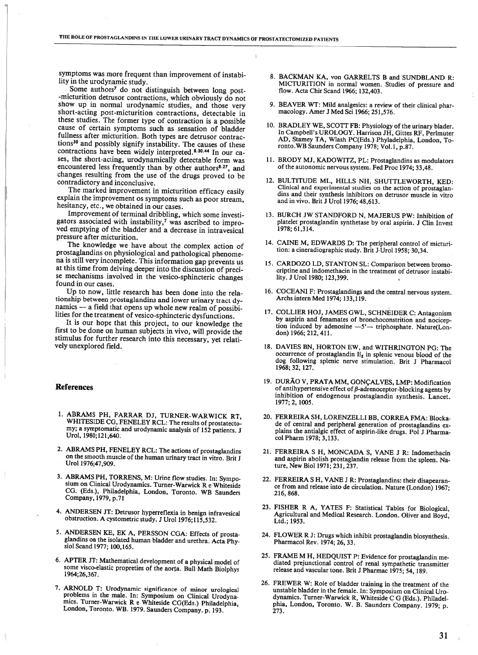symptoms was more frequent than improvement of instabi lity in the urodynamic study.

Some authors<sup>7</sup> do not distinguish between long post--micturition detrusor contractions, which obviously do not show up in normal urodynamic studies, and those very short-acting post-micturition contractions, detectable in these studies. The former type of contraction is <sup>a</sup> possible cause of certain symptoms such as sensation of bladder fullness after micturition. Both types are detrusor contractions<sup>30</sup> and possibly signify instability. The causes of these contractions have been widely interpreted.<sup>8.30.44</sup> In our cases, the short-acting, urodynamically detectable form was encountered less frequently than by other authors<sup>8.27</sup>, and changes resulting from the use of the drugs proved to be contradictory and inconclusive.

The marked improvement in micturition efficacy easily explain the improvement os symptoms such as poor stream, hesitancy, etc., we obtained in our cases.

Improvement of terminal dribbling, which some investi gators associated with instability, $\gamma$  was ascribed to improved emptying of the bladder and <sup>a</sup> decrease in intravesical pressure after micturition.

The knowledge we have about the complex action of prostaglandins on physiological and pathological phenome na is still very incomplete. This information gap prevents us at this time from delving deeper into the discussion of preci se mechanisms involved in the vesico-sphincteric changes found in our cases.

Up to now, little research has been done into the rela tionship between prostaglandins and lower urinary tract dy namics — a field that opens up whole new realm of possibilities for the treatment of vesico-sphincteric dysfunctions.

It is our hope that this project, to our knowledge the first to be done on human subjects in vivo, will provide the stimulus for further research into this necessary, yet relati vely unexplored field.

## References

- 1. ABRAMS PH, FARRAR DJ, TURNER-WARWICK RT, WHITESIDE CG, FENELEY RCL: The results of prostatecto my; <sup>a</sup> symptomatic and urodynamic analysis of 152 patients. J Urol, 1980;12l,640.
- 2. ABRAMS PH, FENELEY RCL: The actions of prostaglandins on the smooth muscle of the human urinary tract in vitro. Brit J Urol 1976;47,909.
- 3. ABRAMS PH, TORRENS, M: Urine flow studies. In: Sympo sium on Clinical Urodynamics. Turner-Warwick <sup>R</sup> <sup>e</sup> Whiteside CO. (Eds.), Philadelphia, London, Toronto. WB Saunders Company, 1979, p.71
- 4. ANDERSEN JT: Detrusor hyperreflexia in benign infravesical obstruction. A cystometric study. J Urol 1976; 115,532.
- 5. ANDERSEN KE, EK A, PERSSON COA: Effects of prosta. glandins on the isolated human bladder and urethra. Acta Phy siol Scand 1977; 100,165.
- 6. APTER JT: Mathematical development of a physical model of some visco-elastic propreties of the aorta. Buil Math Biolphys l964;26,367.
- 7. ARNOLD T: Urodynamic significance of minor urological problems in the male. In: Symposium on Clinical Urodynamics. Turner-Warwjck R <sup>e</sup> Whiteside CG(Eds.) Philadelphia, London, Toronto. WB. 1979. Saunders Company. p. 193.
- 8. BACKMAN KA, von GARRELTS B and SUNDBLAND R: MICTURITION in normal women. Studies of pressure and flow. Acta Chir Scand 1966; 132,403.
- 9. BEAVER WT: Mild analgesics: <sup>a</sup> review of their clinical phar macology. Amer J Med Sci 1966; 251,576.
- 10. BRADLEY WE, SCOTT FB: Physiology of the urinary biader. In Campbell's UROLOGY. Harrison JH, Gittes RF, Perlmuter AD, Stamey TA, Wlash PC(Eds.) Phyladelphia, London, To ronto.WB Saunders Company 1978; Vol.l, p.87.
- 11. BRODY MJ, KADOWITZ, PL: Prostaglandins as modulators of the autonomic nervous system. Fed Proc 1974; 33,48.
- 12. BULTITUDE ML, HILLS NH, SHUTTLEWORTH, KED: Clinical and experimental studies on the action of prostaglan dins and their synthesis inhibitors on detrusor muscle in vitro and in vivo. Brit J Urol 1976; 48,613.
- 13. BURCH JW STANDFORD N, MAJERUS PW: Inhibition of platelet prostaglandin synthetase by oral aspirin. J Clin Invest 1978; 61,3 14.
- 14. CAINE M, EDWARDS D: The peripheral control of micturi tion: a cineradiographic study. Brit J Urol 1958; 30,34.
- 15. CARDOZO LD, STANTON SL: Comparison between bromo criptine and indomethacin in the treatment of detrusor instabi lity. J Urol 1980; 123,399.
- 16. COCEANI F: Prostaglandings and the central nervous system. Archs intern Mcd 1974; 133,119.
- 17. COLLIER HOJ, JAMES GWL, SCHNEIDER C: Antagonism by aspirin and fenamates of bronchoconstrition and nocicep tion induced by adenosine —5'— triphosphate. Nature(Lon don) 1966; 212,411.
- 18. DAVIES BN, HORTON EW, and WITHRINGTON PG: The  $occurrence$  of prostaglandin  $E_2$  in splenic venous blood of the dog following splenic nerve stimulation. Brit J Pharmacol 1968; 32, 127.
- 19. DURÃO V, PRATA MM, GONÇALVES, LMP: Modification of antihypertensive effect of  $\beta$ -adrenoceptor-blocking agents by inhibition of endogenous prostaglandin synthesis. Lancet. 1977; 2, 1005.
- 20. FERREIRA SH, LORENZELLJ BB, CORREA FMA: Blocka de of central and peripheral generation of prostaglandins ex plains the antialgic effect of aspirin-like drugs. Pol J Pharma col Pharm 1978; 3,133.
- 21. FERREIRA 5 H, MONCADA S, VANE J R: Indomethacin and aspirin abolish prostaglandin release from the spleen. Na ture, New Biol 1971; 231, 237.
- 22. FERREIRA S H, VANE J R: Prostaglandins: their disapearan cc from and release into de circulation. Nature (London) 1967; 216, 868.
- 23. FISHER R A, YATES F: Statistical Tables for Biological, Agricultural and Medical Research. London. Oliver and Boyd, Ltd.; 1953.
- 24. FLOWER R J: Drugs which inhibit prostaglandin biosynthesis. Pharmacol Rev. 1974; 26, 33.
- 25. FRAME <sup>M</sup> H, HEDQUIST P: Evidence for prostaglandin me diated prejunctional control of renal sympathetic transmitter release and vascular tone. Brit J Pharmac 1975; 54, 189.
- 26. FREWER W: Role of bladder training in the treatment of the unstable bladder in the female. In: Symposium on Clinical Uro dynamics. Turner-Warwick R, Whiteside <sup>C</sup> O (Eds.). Philadel phia, London, Toronto. W. B. Saunders Company. 1979; p. 273.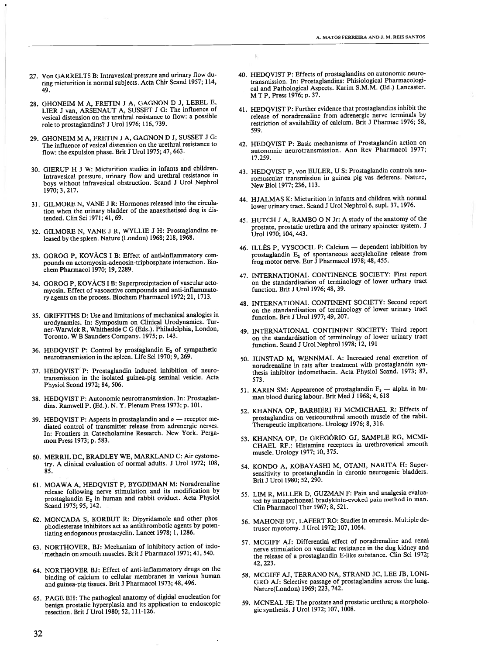- 27. Von GARRELTS B: Intravesical pressure and urinary flow during micturition in normal subjects. Acta Chir Scand 1957; 114, 49.
- 28. GHONEIM M A, FRETIN J A, GAGNON D J, LEBEL E, LIER J van, ARSENAUT A, SUSSET J G: The influence of vesical distension on the urethral resistance to flow: <sup>a</sup> possible role to prostaglandins? J Urol 1976; 116, 739.
- 29. GHONEIM M A, FRETIN J A, GAGNON D J, SUSSET J G: The influence of vesical distension on the urethral resistance to flow: the expulsion phase. Brit J Urol 1975; 47, 663.
- 30. GIERUP H J W: Micturition studies in infants and children. Intravesical pressure, urinary flow and urethral resistance in boys without infravesical obstruction. Scand J Urol Nephrol 1970; 3,217.
- 31. GILMORE N, VANE J R: Hormones released into the circula tion when the urinary bladder of the anaesthetised dog is dis tended. ClinSci 1971; 41, 69.
- 32. GILMORE N, VANE J R, WYLLIE J H: Prostaglandins re leased by the spleen. Nature (London) 1968; 218, 1968.
- 33. GOROG P, KOVÀCS <sup>1</sup> B: Effect of anti-inflammatory com pounds on actomyosin-adenosin-triphosphate interaction. Bio chem Pharmacol 1970; 19, 2289.
- 34. GOROG P, KOVÀCS <sup>1</sup> B: Superprecipitacion of vascular acto myosin. Effect of vasoactive compounds and anti-inflammato ry agents on the process. Biochem Pharmacol 1972; 21, 1713.
- 35. GRIFFITHS D: Use and limitations of mechanical analogies in urodynamics. In: Symposium on Clinical Urodynamics. Tur ner-Warwick R, Whitheside C G (Eds.). Philadelphia, London, Toronto. <sup>W</sup> <sup>B</sup> Saunders Company. 1975; p. 143.
- 36. HEDQVIST P: Control by prostaglandin  $E_2$  of sympatheticneurotransmission in the spleen. Life Sci 1970; 9, 269.
- 37. HEDQVIST P: Prostaglandin induced inhibition of neurotransmission in the isolated guinea-pig seminal vesicle. Acta Physiol Scond 1972; 84, 506.
- 38. HEDQVIST P: Autonomic neurotransmission. In: Prostaglan dins. Ramwell P. (Ed.). N. Y. Plenum Press 1973; p. 101.
- 39. HEDOVIST P: Aspects in prostaglandin and  $\alpha$  receptor mediated control of transmitter release from adrenergic nerves. In: Frontiers in Catecholamine Research. New York. Perga monPress 1973; p. 583.
- 60. MERRIL DC, BRADLEY WE, MARKLAND C: Air cystome try. A clinical evaluation of normal adults. J Urol 1972; 108, 85.
- 61. MOAWA A, HEDQVIST P, BYGDEMAN M: Noradrenaline release following nerve stimulation and its modification by prostaglandin  $E_2$  in human and rabbit oviduct. Acta Physiol Scand 1975; 95, 142.
- 62. MONCADA S, KORBUT R: Dipyridamole and other phos phodiesterase inhibitors act as antithrombotic agents by poten tiating endogenous prostacyclin. Lancet 1978; 1, 1286.
- 63. NORTHOVER, BJ: Mechanism of inhibitory action of indo methacin on smooth muscles. Brit J Pharmacol 1971; 41, 540.
- 64. NORTHOVER BJ: Effect of anti-inflammatory drugs on the binding of calcium to cellular membranes in various human and guinea-pig tissues. Brit J Pharmacol 1973; 48, 496.
- 65. PAGE BH: The pathogical anatomy of digidal enucleation for benign prostatic hyperplasia and its application to endoscopic resection. Brit J Urol 1980; 52, 111-126.

40. HEDQVIST P: Effects of prostagiandins on autonomic neuro transmission. In: Prostaglandins: Phisiological Pharmacologi cal and Pathological Aspects. Karim S.M.M. (Ed.) Lancaster. M T P, Press 1976; p. 37.

f,

- 41. HEDQVIST P: Further evidence that prostaglandins inhibit the release of noradrenaline from adrenergic nerve terminais by restriction of availability of calcium. Brit J Pharmac 1976; 58, 599.
- 42. HEDQVIST P: Basic mechanisms of Prostagiandin action on autonomic neurotransmission. Ann Rev Pharmacol 1977; 17.259.
- 43. HEDQVIST P, von EULER, U S: Prostaglandin controis neu romuscular transmission in guinea pig vas deferens. Nature, New Biol 1977; 236, 113.
- 44. HJALMAS K: Micturition in infants and children with normal lower urinary tract. Scand J Uroi Nephrol 6, supl. 37, 1976.
- 45. HUTCH J A, RAMBO O N Jr: A study of the anatomy of the prostate, prostatic urethra and the urinary sphincter system. J Urol 1970; 104,443.
- 46. ILLÉS P, VYSCOCIL F: Calcium dependent inhibition by prostaglandin  $E_1$  of spontaneous acetylcholine release from frog motor nerve. Eur J Pharmacol 1978; 48, 455.
- 47. INTERNATIONAL CONTINENCE SOCIETY: First report on the standardisation of terminology of lower urihary tract function. Brit J Urol 1976; 48, 39.
- 48. INTERNATIONAL CONTINENT SOCIETY: Second report on the standardisation of terminology of lower urinary tract function. Brit J Urol 1977; 49, 207.
- 49. INTERNATIONAL CONTINENT SOCIETY: Third report on the standardisation of terminology of lower urinary tract function. Scand J Urol Nephrol 1978; 12, 191
- 50. JUNSTAD M, WENNMAL A: Increased renal excretion of noradrenaline in rats after treatment with prostaglandin syn thesis inhibitor indomethacin. Acta Physiol Scand. 1973; 87, 573.
- 51. KARIN SM: Appearence of prostagiandin  $r_2$  alpha in human blood during labour. Brit Med  $\overline{J}$  1968; 4, 618
- 52. KHANNA OP, BARBIERI EJ MCMICHAEL R: Effects of prostaglandins on vesicourethral smooth muscie of the rabit. Therapeutic implications. Urology 1976; 8, 316.
- 53. KHANNA OP, De GREGÓRIO GJ, SAMPLE RG, MCMI CHAEL RF.: Histamine receptors in urethrovesical smooth muscle. Urology 1977; 10, 375.
- 54. KONDO A, KOBAYASHI M, OTANI, NARITA H: Super sensitivity to prostanglandin in chronic neurogenic bladders. Brit J Urol 1980; 52, 290.
- 55. UM R, MILLER D, GUZMAN F: Pain and analgesia evalua ted by intraperitoneal bradykinin-evoked pain method in man. Clin Pharmacol Ther 1967; 8, 521.
- 56. MAHONE DT, LAFERT RO: Studies in enuresis. Multiple de trusor myotomy. J Urol 1972; 107, 1064.
- 57. MCGIFF AJ: Differential effect of noradrenaline and renal nerve stimulation on vascular resistance in the dog kidney and the release of <sup>a</sup> prostaglandin E-like substance. Clin Sci 1972; 42, 223.
- 58. MCGIFF AJ, TERRANO NA, STRAND JC, LEE JB, LONI GRO AJ: Selective passage of prostaglandins across the lung. Nature(London) 1969; 223, 742.
- 59. MCNEAL JE: The prostate and prostatic urethra; <sup>a</sup> morpholo gic synthesis. J Urol 1972; 107, 1008.